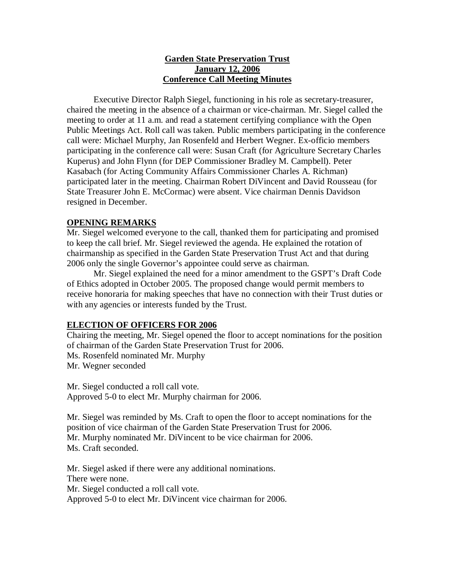## **Garden State Preservation Trust January 12, 2006 Conference Call Meeting Minutes**

Executive Director Ralph Siegel, functioning in his role as secretary-treasurer, chaired the meeting in the absence of a chairman or vice-chairman. Mr. Siegel called the meeting to order at 11 a.m. and read a statement certifying compliance with the Open Public Meetings Act. Roll call was taken. Public members participating in the conference call were: Michael Murphy, Jan Rosenfeld and Herbert Wegner. Ex-officio members participating in the conference call were: Susan Craft (for Agriculture Secretary Charles Kuperus) and John Flynn (for DEP Commissioner Bradley M. Campbell). Peter Kasabach (for Acting Community Affairs Commissioner Charles A. Richman) participated later in the meeting. Chairman Robert DiVincent and David Rousseau (for State Treasurer John E. McCormac) were absent. Vice chairman Dennis Davidson resigned in December.

## **OPENING REMARKS**

Mr. Siegel welcomed everyone to the call, thanked them for participating and promised to keep the call brief. Mr. Siegel reviewed the agenda. He explained the rotation of chairmanship as specified in the Garden State Preservation Trust Act and that during 2006 only the single Governor's appointee could serve as chairman.

Mr. Siegel explained the need for a minor amendment to the GSPT's Draft Code of Ethics adopted in October 2005. The proposed change would permit members to receive honoraria for making speeches that have no connection with their Trust duties or with any agencies or interests funded by the Trust.

### **ELECTION OF OFFICERS FOR 2006**

Chairing the meeting, Mr. Siegel opened the floor to accept nominations for the position of chairman of the Garden State Preservation Trust for 2006. Ms. Rosenfeld nominated Mr. Murphy Mr. Wegner seconded

Mr. Siegel conducted a roll call vote. Approved 5-0 to elect Mr. Murphy chairman for 2006.

Mr. Siegel was reminded by Ms. Craft to open the floor to accept nominations for the position of vice chairman of the Garden State Preservation Trust for 2006. Mr. Murphy nominated Mr. DiVincent to be vice chairman for 2006. Ms. Craft seconded.

Mr. Siegel asked if there were any additional nominations. There were none. Mr. Siegel conducted a roll call vote. Approved 5-0 to elect Mr. DiVincent vice chairman for 2006.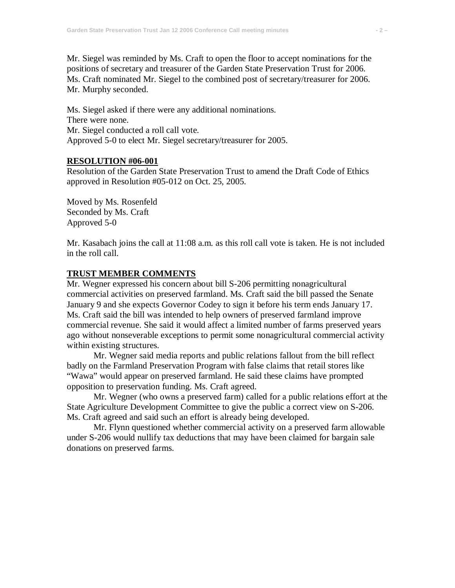Mr. Siegel was reminded by Ms. Craft to open the floor to accept nominations for the positions of secretary and treasurer of the Garden State Preservation Trust for 2006. Ms. Craft nominated Mr. Siegel to the combined post of secretary/treasurer for 2006. Mr. Murphy seconded.

Ms. Siegel asked if there were any additional nominations. There were none. Mr. Siegel conducted a roll call vote. Approved 5-0 to elect Mr. Siegel secretary/treasurer for 2005.

### **RESOLUTION #06-001**

Resolution of the Garden State Preservation Trust to amend the Draft Code of Ethics approved in Resolution #05-012 on Oct. 25, 2005.

Moved by Ms. Rosenfeld Seconded by Ms. Craft Approved 5-0

Mr. Kasabach joins the call at 11:08 a.m. as this roll call vote is taken. He is not included in the roll call.

#### **TRUST MEMBER COMMENTS**

Mr. Wegner expressed his concern about bill S-206 permitting nonagricultural commercial activities on preserved farmland. Ms. Craft said the bill passed the Senate January 9 and she expects Governor Codey to sign it before his term ends January 17. Ms. Craft said the bill was intended to help owners of preserved farmland improve commercial revenue. She said it would affect a limited number of farms preserved years ago without nonseverable exceptions to permit some nonagricultural commercial activity within existing structures.

Mr. Wegner said media reports and public relations fallout from the bill reflect badly on the Farmland Preservation Program with false claims that retail stores like "Wawa" would appear on preserved farmland. He said these claims have prompted opposition to preservation funding. Ms. Craft agreed.

Mr. Wegner (who owns a preserved farm) called for a public relations effort at the State Agriculture Development Committee to give the public a correct view on S-206. Ms. Craft agreed and said such an effort is already being developed.

Mr. Flynn questioned whether commercial activity on a preserved farm allowable under S-206 would nullify tax deductions that may have been claimed for bargain sale donations on preserved farms.